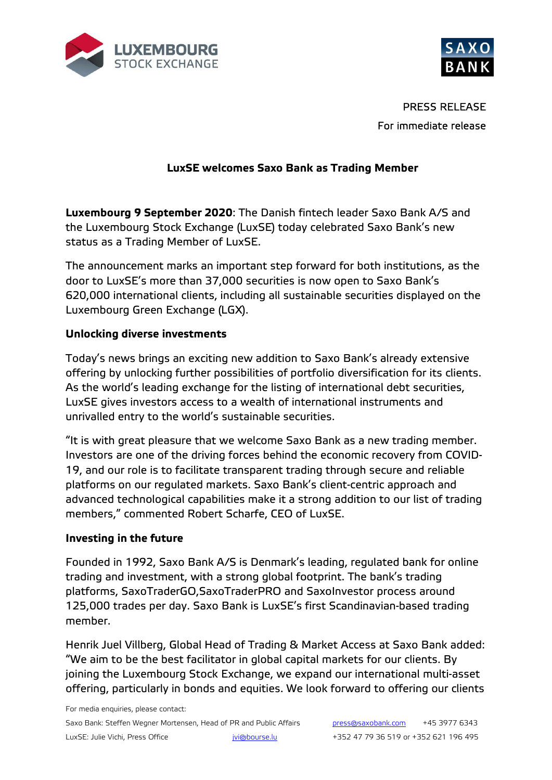



PRESS RELEASE For immediate release

# **LuxSE welcomes Saxo Bank as Trading Member**

**Luxembourg 9 September 2020**: The Danish fintech leader Saxo Bank A/S and the Luxembourg Stock Exchange (LuxSE) today celebrated Saxo Bank's new status as a Trading Member of LuxSE.

The announcement marks an important step forward for both institutions, as the door to LuxSE's more than 37,000 securities is now open to Saxo Bank's 620,000 international clients, including all sustainable securities displayed on the Luxembourg Green Exchange (LGX).

# **Unlocking diverse investments**

Today's news brings an exciting new addition to Saxo Bank's already extensive offering by unlocking further possibilities of portfolio diversification for its clients. As the world's leading exchange for the listing of international debt securities, LuxSE gives investors access to a wealth of international instruments and unrivalled entry to the world's sustainable securities.

"It is with great pleasure that we welcome Saxo Bank as a new trading member. Investors are one of the driving forces behind the economic recovery from COVID-19, and our role is to facilitate transparent trading through secure and reliable platforms on our regulated markets. Saxo Bank's client-centric approach and advanced technological capabilities make it a strong addition to our list of trading members," commented Robert Scharfe, CEO of LuxSE.

### **Investing in the future**

Founded in 1992, Saxo Bank A/S is Denmark's leading, regulated bank for online trading and investment, with a strong global footprint. The bank's trading platforms, SaxoTraderGO,SaxoTraderPRO and SaxoInvestor process around 125,000 trades per day. Saxo Bank is LuxSE's first Scandinavian-based trading member.

Henrik Juel Villberg, Global Head of Trading & Market Access at Saxo Bank added: "We aim to be the best facilitator in global capital markets for our clients. By joining the Luxembourg Stock Exchange, we expand our international multi-asset offering, particularly in bonds and equities. We look forward to offering our clients

For media enquiries, please contact: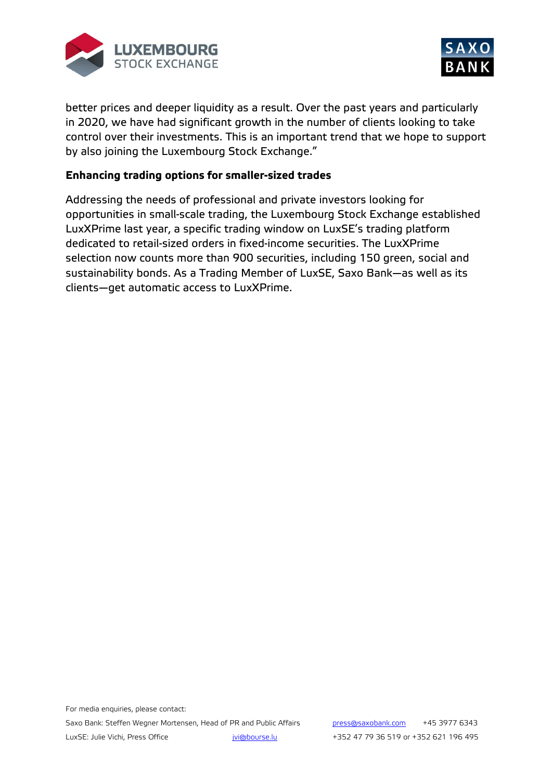



better prices and deeper liquidity as a result. Over the past years and particularly in 2020, we have had significant growth in the number of clients looking to take control over their investments. This is an important trend that we hope to support by also joining the Luxembourg Stock Exchange."

## **Enhancing trading options for smaller-sized trades**

Addressing the needs of professional and private investors looking for opportunities in small-scale trading, the Luxembourg Stock Exchange established LuxXPrime last year, a specific trading window on LuxSE's trading platform dedicated to retail-sized orders in fixed-income securities. The LuxXPrime selection now counts more than 900 securities, including 150 green, social and sustainability bonds. As a Trading Member of LuxSE, Saxo Bank—as well as its clients—get automatic access to LuxXPrime.